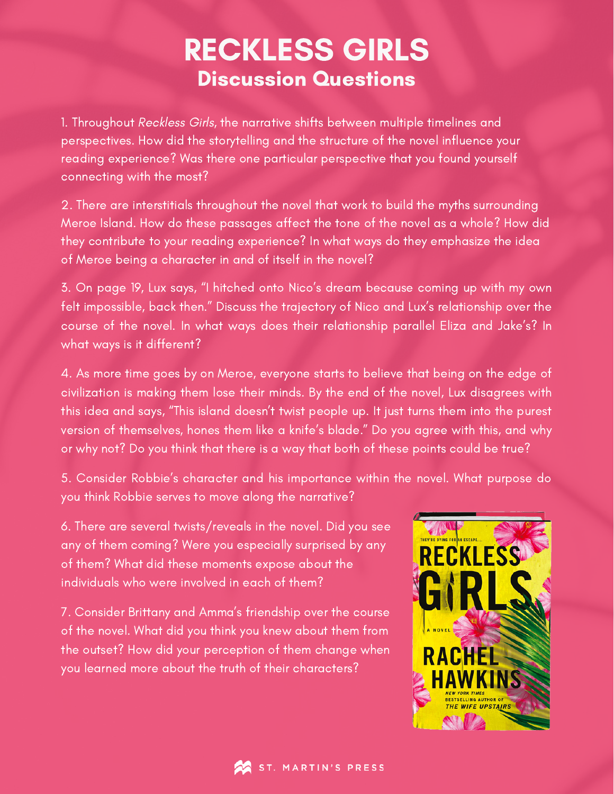## RECKLESS GIRLS Discussion Questions

1. Throughout Reckless Girls, the narrative shifts between multiple timelines and perspectives. How did the storytelling and the structure of the novel influence your reading experience? Was there one particular perspective that you found yourself connecting with the most?

2. There are interstitials throughout the novel that work to build the myths surrounding Meroe Island. How do these passages affect the tone of the novel as a whole? How did they contribute to your reading experience? In what ways do they emphasize the idea of Meroe being a character in and of itself in the novel?

3. On page 19, Lux says, "I hitched onto Nico's dream because coming up with my own felt impossible, back then." Discuss the trajectory of Nico and Lux's relationship over the course of the novel. In what ways does their relationship parallel Eliza and Jake's? In what ways is it different?

4. As more time goes by on Meroe, everyone starts to believe that being on the edge of civilization is making them lose their minds. By the end of the novel, Lux disagrees with this idea and says, "This island doesn't twist people up. It just turns them into the purest version of themselves, hones them like a knife's blade." Do you agree with this, and why or why not? Do you think that there is a way that both of these points could be true?

5. Consider Robbie's character and his importance within the novel. What purpose do you think Robbie serves to move along the narrative?

6. There are several twists/reveals in the novel. Did you see any of them coming? Were you especially surprised by any of them? What did these moments expose about the individuals who were involved in each of them?

7. Consider Brittany and Amma's friendship over the course of the novel. What did you think you knew about them from the outset? How did your perception of them change when you learned more about the truth of their characters?